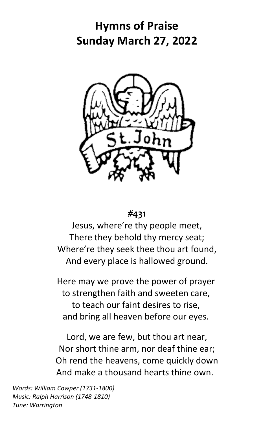# **Hymns of Praise Sunday March 27, 2022**



## **#431**

Jesus, where're thy people meet, There they behold thy mercy seat; Where're they seek thee thou art found, And every place is hallowed ground.

Here may we prove the power of prayer to strengthen faith and sweeten care, to teach our faint desires to rise, and bring all heaven before our eyes.

Lord, we are few, but thou art near, Nor short thine arm, nor deaf thine ear; Oh rend the heavens, come quickly down And make a thousand hearts thine own.

*Words: William Cowper (1731-1800) Music: Ralph Harrison (1748-1810) Tune: Warrington*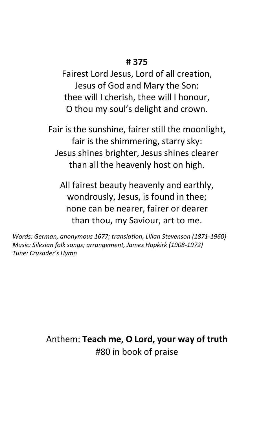#### **# 375**

Fairest Lord Jesus, Lord of all creation, Jesus of God and Mary the Son: thee will I cherish, thee will I honour, O thou my soul's delight and crown.

Fair is the sunshine, fairer still the moonlight, fair is the shimmering, starry sky: Jesus shines brighter, Jesus shines clearer than all the heavenly host on high.

All fairest beauty heavenly and earthly, wondrously, Jesus, is found in thee; none can be nearer, fairer or dearer than thou, my Saviour, art to me.

*Words: German, anonymous 1677; translation, Lilian Stevenson (1871-1960) Music: Silesian folk songs; arrangement, James Hopkirk (1908-1972) Tune: Crusader's Hymn*

> Anthem: **Teach me, O Lord, your way of truth** #80 in book of praise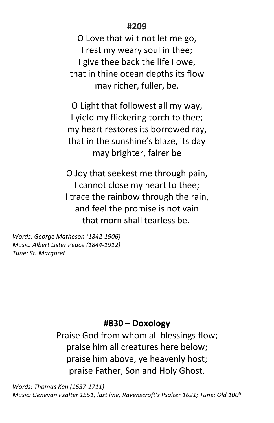## **#209**

O Love that wilt not let me go, I rest my weary soul in thee; I give thee back the life I owe, that in thine ocean depths its flow may richer, fuller, be.

O Light that followest all my way, I yield my flickering torch to thee; my heart restores its borrowed ray, that in the sunshine's blaze, its day may brighter, fairer be

O Joy that seekest me through pain, I cannot close my heart to thee; I trace the rainbow through the rain, and feel the promise is not vain that morn shall tearless be.

*Words: George Matheson (1842-1906) Music: Albert Lister Peace (1844-1912) Tune: St. Margaret*

#### **#830 – Doxology**

Praise God from whom all blessings flow; praise him all creatures here below; praise him above, ye heavenly host; praise Father, Son and Holy Ghost.

*Words: Thomas Ken (1637-1711) Music: Genevan Psalter 1551; last line, Ravenscroft's Psalter 1621; Tune: Old 100th*